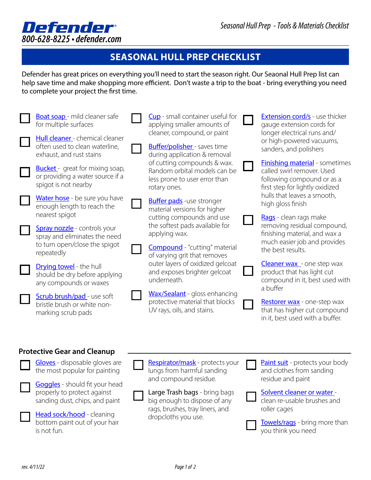

## **SEASONAL HULL PREP CHECKLIST**

Defender has great prices on everything you'll need to start the season right. Our Seaonal Hull Prep list can help save time and make shopping more efficient. Don't waste a trip to the boat - bring everything you need to complete your project the first time.



**[Towels/rags](https://www.defender.com/category.jsp?name=towels-chamois-and-rags&path=-1|10918|2303331&id=2303339)** - bring more than you think you need

is not fun.